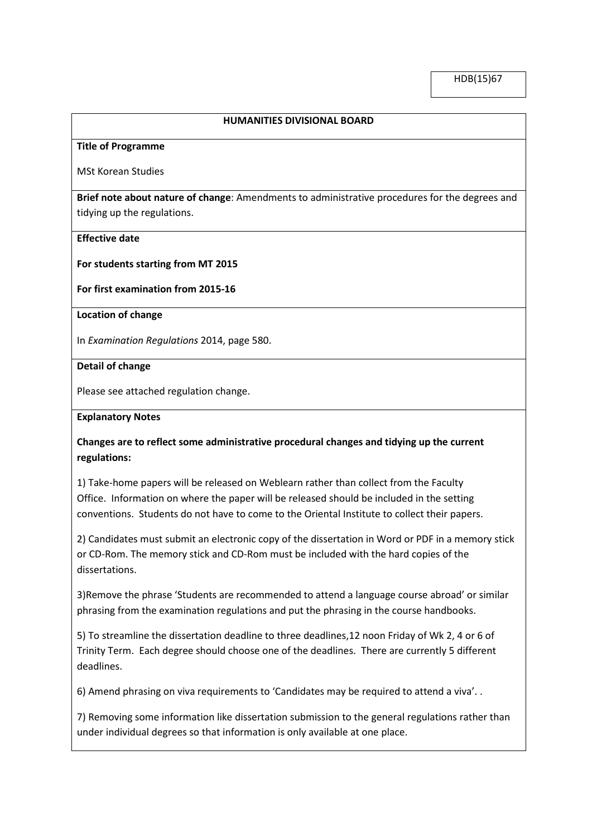## **HUMANITIES DIVISIONAL BOARD**

### **Title of Programme**

MSt Korean Studies

**Brief note about nature of change**: Amendments to administrative procedures for the degrees and tidying up the regulations.

### **Effective date**

**For students starting from MT 2015**

**For first examination from 2015-16**

**Location of change**

In *Examination Regulations* 2014, page 580.

**Detail of change**

Please see attached regulation change.

#### **Explanatory Notes**

# **Changes are to reflect some administrative procedural changes and tidying up the current regulations:**

1) Take-home papers will be released on Weblearn rather than collect from the Faculty Office. Information on where the paper will be released should be included in the setting conventions. Students do not have to come to the Oriental Institute to collect their papers.

2) Candidates must submit an electronic copy of the dissertation in Word or PDF in a memory stick or CD-Rom. The memory stick and CD-Rom must be included with the hard copies of the dissertations.

3)Remove the phrase 'Students are recommended to attend a language course abroad' or similar phrasing from the examination regulations and put the phrasing in the course handbooks.

5) To streamline the dissertation deadline to three deadlines,12 noon Friday of Wk 2, 4 or 6 of Trinity Term. Each degree should choose one of the deadlines. There are currently 5 different deadlines.

6) Amend phrasing on viva requirements to 'Candidates may be required to attend a viva'. .

7) Removing some information like dissertation submission to the general regulations rather than under individual degrees so that information is only available at one place.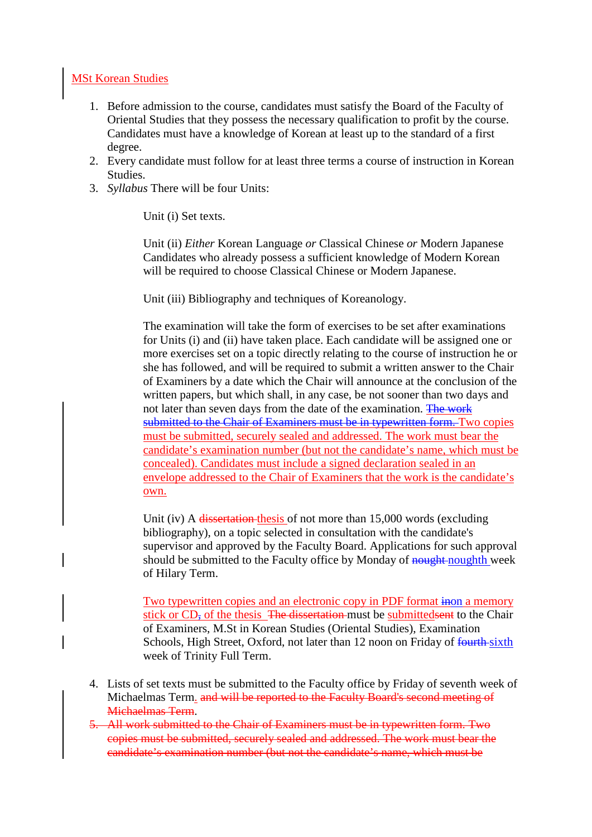# MSt Korean Studies

- 1. Before admission to the course, candidates must satisfy the Board of the Faculty of Oriental Studies that they possess the necessary qualification to profit by the course. Candidates must have a knowledge of Korean at least up to the standard of a first degree.
- 2. Every candidate must follow for at least three terms a course of instruction in Korean Studies.
- 3. *Syllabus* There will be four Units:

Unit (i) Set texts.

Unit (ii) *Either* Korean Language *or* Classical Chinese *or* Modern Japanese Candidates who already possess a sufficient knowledge of Modern Korean will be required to choose Classical Chinese or Modern Japanese.

Unit (iii) Bibliography and techniques of Koreanology.

The examination will take the form of exercises to be set after examinations for Units (i) and (ii) have taken place. Each candidate will be assigned one or more exercises set on a topic directly relating to the course of instruction he or she has followed, and will be required to submit a written answer to the Chair of Examiners by a date which the Chair will announce at the conclusion of the written papers, but which shall, in any case, be not sooner than two days and not later than seven days from the date of the examination. The work submitted to the Chair of Examiners must be in typewritten form. Two copies must be submitted, securely sealed and addressed. The work must bear the candidate's examination number (but not the candidate's name, which must be concealed). Candidates must include a signed declaration sealed in an envelope addressed to the Chair of Examiners that the work is the candidate's own.

Unit (iv) A dissertation thesis of not more than 15,000 words (excluding bibliography), on a topic selected in consultation with the candidate's supervisor and approved by the Faculty Board. Applications for such approval should be submitted to the Faculty office by Monday of noughth week of Hilary Term.

Two typewritten copies and an electronic copy in PDF format inon a memory stick or CD, of the thesis The dissertation must be submitted sent to the Chair of Examiners, M.St in Korean Studies (Oriental Studies), Examination Schools, High Street, Oxford, not later than 12 noon on Friday of fourth-sixth week of Trinity Full Term.

- 4. Lists of set texts must be submitted to the Faculty office by Friday of seventh week of Michaelmas Term. and will be reported to the Faculty Board's second meeting of Michaelmas Term.
- 5. All work submitted to the Chair of Examiners must be in typewritten form. Two copies must be submitted, securely sealed and addressed. The work must bear the candidate's examination number (but not the candidate's name, which must be